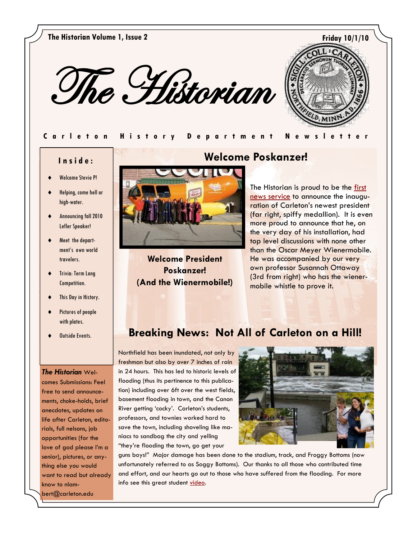**The Historian Volume 1, Issue 2 Friday 10/1/10**





#### **Carleton History Department Newsle**

### **I n s i d e :**

- Welcome Stevie P!
- Helping, come hell or high-water.
- Announcing fall 2010 Lefler Speaker!
- Meet the department's own world travelers.
- Trivia: Term Long Competition.
- This Day in History.
- Pictures of people with plates.
- 

#### *The Historian* Wel-

comes Submissions: Feel free to send announcements, choke-holds, brief anecdotes, updates on life after Carleton, editorials, full nelsons, job opportunities (for the love of god please I"m a senior), pictures, or anything else you would want to read but already know to nlambert@carleton.edu



**Welcome President Poskanzer! (And the Wienermobile!)**

# **Welcome Poskanzer!**

The Historian is proud to be the first [news service](http://apps.carleton.edu/carletonian/?story_id=669205&issue_id=666016) to announce the inauguration of Carleton"s newest president (far right, spiffy medallion). It is even more proud to announce that he, on the very day of his installation, had top level discussions with none other than the Oscar Meyer Wienermobile. He was accompanied by our very own professor Susannah Ottaway (3rd from right) who has the wienermobile whistle to prove it.

# **Outside Events. | Breaking News: Not All of Carleton on a Hill!**

Northfield has been inundated, not only by freshman but also by over 7 inches of rain in 24 hours. This has led to historic levels of flooding (thus its pertinence to this publication) including over 6ft over the west fields, basement flooding in town, and the Canon River getting 'cocky'. Carleton's students, professors, and townies worked hard to save the town, including shoveling like maniacs to sandbag the city and yelling "they"re flooding the town, go get your



guns boys!" Major damage has been done to the stadium, track, and Froggy Bottoms (now unfortunately referred to as Soggy Bottoms). Our thanks to all those who contributed time and effort, and our hearts go out to those who have suffered from the flooding. For more info see this great student [video.](http://apps.carleton.edu/news/news/?story_id=669035)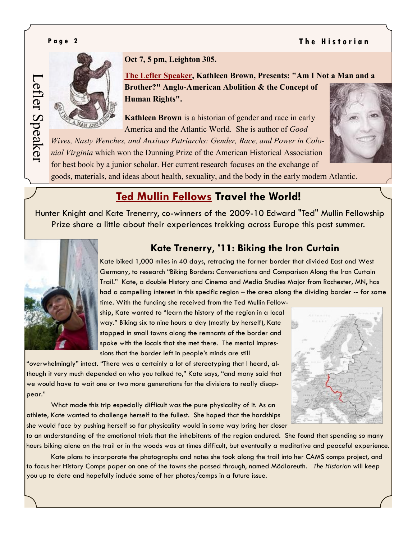## **P** a g e 2 **The Historian**

Lefler Speaker

Lefler Speaker



**Oct 7, 5 pm, Leighton 305.**

**[The Lefler Speaker,](http://apps.carleton.edu/curricular/history/UpcomingEvents/?story_id=655181) Kathleen Brown, Presents: "Am I Not a Man and a Brother?" Anglo-American Abolition & the Concept of Human Rights".**

**Kathleen Brown** is a historian of gender and race in early America and the Atlantic World. She is author of *Good* 

*Wives, Nasty Wenches, and Anxious Patriarchs: Gender, Race, and Power in Colonial Virginia* which won the Dunning Prize of the American Historical Association for best book by a junior scholar. Her current research focuses on the exchange of



goods, materials, and ideas about health, sexuality, and the body in the early modern Atlantic.

# **[Ted Mullin Fellows](http://apps.carleton.edu/curricular/history/MullinMemorialFellowship2010/) Travel the World!**

Hunter Knight and Kate Trenerry, co-winners of the 2009-10 Edward "Ted" Mullin Fellowship Prize share a little about their experiences trekking across Europe this past summer.



## **Kate Trenerry**, **'11: Biking the Iron Curtain**

Kate biked 1,000 miles in 40 days, retracing the former border that divided East and West Germany, to research "Biking Borders: Conversations and Comparison Along the Iron Curtain Trail." Kate, a double History and Cinema and Media Studies Major from Rochester, MN, has had a compelling interest in this specific region – the area along the dividing border -- for some

time. With the funding she received from the Ted Mullin Fellowship, Kate wanted to "learn the history of the region in a local way." Biking six to nine hours a day (mostly by herself), Kate stopped in small towns along the remnants of the border and spoke with the locals that she met there. The mental impressions that the border left in people"s minds are still

"overwhelmingly" intact. "There was a certainly a lot of stereotyping that I heard, although it very much depended on who you talked to," Kate says, "and many said that we would have to wait one or two more generations for the divisions to really disappear."

What made this trip especially difficult was the pure physicality of it. As an athlete, Kate wanted to challenge herself to the fullest. She hoped that the hardships she would face by pushing herself so far physicality would in some way bring her closer



to an understanding of the emotional trials that the inhabitants of the region endured. She found that spending so many hours biking alone on the trail or in the woods was at times difficult, but eventually a meditative and peaceful experience.

Kate plans to incorporate the photographs and notes she took along the trail into her CAMS comps project, and to focus her History Comps paper on one of the towns she passed through, named Mödlareuth. *The Historian* will keep you up to date and hopefully include some of her photos/comps in a future issue.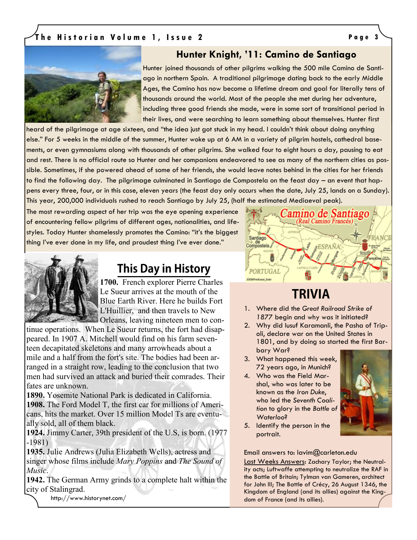## **T h e H i s t o r i a n V o l u m e 1 , I s s u e 2 P a g e 3**



## **Hunter Knight, '11: Camino de Santiago**

Hunter joined thousands of other pilgrims walking the 500 mile Camino de Santiago in northern Spain. A traditional pilgrimage dating back to the early Middle Ages, the Camino has now become a lifetime dream and goal for literally tens of thousands around the world. Most of the people she met during her adventure, including three good friends she made, were in some sort of transitional period in their lives, and were searching to learn something about themselves. Hunter first

heard of the pilgrimage at age sixteen, and "the idea just got stuck in my head. I couldn"t think about doing anything else." For 5 weeks in the middle of the summer, Hunter woke up at 6 AM in a variety of pilgrim hostels, cathedral basements, or even gymnasiums along with thousands of other pilgrims. She walked four to eight hours a day, pausing to eat and rest. There is no official route so Hunter and her companions endeavored to see as many of the northern cities as possible. Sometimes, if she powered ahead of some of her friends, she would leave notes behind in the cities for her friends to find the following day. The pilgrimage culminated in Santiago de Compostela on the feast day – an event that happens every three, four, or in this case, eleven years (the feast day only occurs when the date, July 25, lands on a Sunday). This year, 200,000 individuals rushed to reach Santiago by July 25, (half the estimated Mediaeval peak).

The most rewarding aspect of her trip was the eye opening experience of encountering fellow pilgrims of different ages, nationalities, and lifestyles. Today Hunter shamelessly promotes the Camino: "it"s the biggest thing I've ever done in my life, and proudest thing I've ever done."



# **This Day in History**

**1700.** French explorer Pierre Charles Le Sueur arrives at the mouth of the Blue Earth River. Here he builds Fort L'Huillier, and then travels to New Orleans, leaving nineteen men to con-

tinue operations. When Le Sueur returns, the fort had disappeared. In 1907 A. Mitchell would find on his farm seventeen decapitated skeletons and many arrowheads about a mile and a half from the fort's site. The bodies had been arranged in a straight row, leading to the conclusion that two men had survived an attack and buried their comrades. Their fates are unknown.

**1890.** Yosemite National Park is dedicated in California. **1908.** The Ford Model T, the first car for millions of Americans, hits the market. Over 15 million Model Ts are eventually sold, all of them black.

**1924.** Jimmy Carter, 39th president of the U.S, is born. (1977 -1981)

**1935.** Julie Andrews (Julia Elizabeth Wells), actress and singer whose films include *Mary Poppins* and *The Sound of Music*.

**1942.** The German Army grinds to a complete halt within the city of Stalingrad.

http://www.historynet.com/



# **TRIVIA**

- 1. Where did the *Great Railroad Strike of*  1877 begin and why was it initiated?
- 2. Why did Iusuf Karamanli, the Pasha of Tripoli, declare war on the United States in 1801, and by doing so started the first Barbary War?
- 3. What happened this week, 72 years ago, in Munich?
- 4. Who was the Field Marshal, who was later to be known as the *Iron Duke*, who led the *Seventh Coalition* to glory in the *Battle of Waterloo*?



5. Identify the person in the portrait.

Email answers to: lavim@carleton.edu

Last Weeks Answers: Zachary Taylor; the Neutrality acts; Luftwaffe attempting to neutralize the RAF in the Battle of Britain; Tylman van Gameren, architect for John III; The Battle of Crécy, 26 August 1346, the Kingdom of England (and its allies) against the Kingdom of France (and its allies).